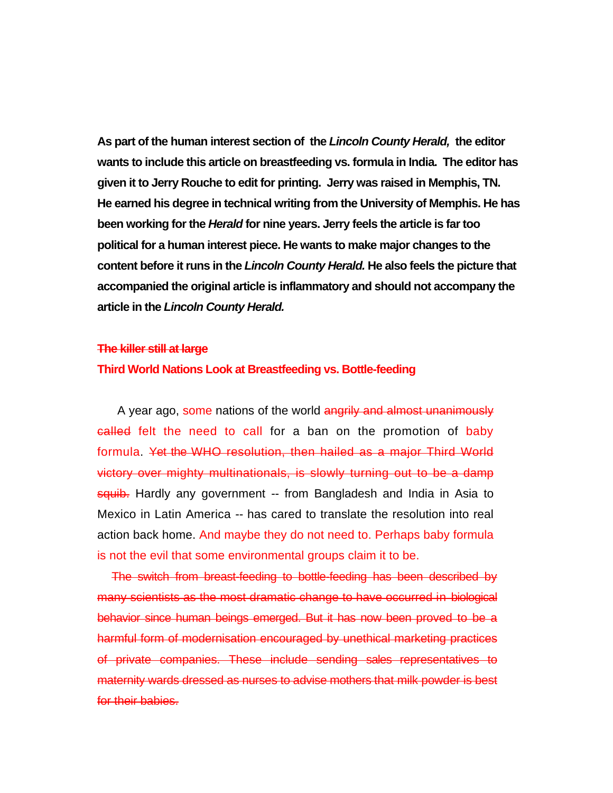**As part of the human interest section of the** *Lincoln County Herald,* **the editor wants to include this article on breastfeeding vs. formula in India. The editor has given it to Jerry Rouche to edit for printing. Jerry was raised in Memphis, TN. He earned his degree in technical writing from the University of Memphis. He has been working for the** *Herald* **for nine years. Jerry feels the article is far too political for a human interest piece. He wants to make major changes to the content before it runs in the** *Lincoln County Herald.* **He also feels the picture that accompanied the original article is inflammatory and should not accompany the article in the** *Lincoln County Herald.* 

## **The killer still at large**

## **Third World Nations Look at Breastfeeding vs. Bottle-feeding**

A year ago, some nations of the world angrily and almost unanimously called felt the need to call for a ban on the promotion of baby formula. Yet the WHO resolution, then hailed as a major Third World victory over mighty multinationals, is slowly turning out to be a damp squib. Hardly any government -- from Bangladesh and India in Asia to Mexico in Latin America -- has cared to translate the resolution into real action back home. And maybe they do not need to. Perhaps baby formula is not the evil that some environmental groups claim it to be.

The switch from breast-feeding to bottle-feeding has been described by many scientists as the most dramatic change to have occurred in biological behavior since human beings emerged. But it has now been proved to be a harmful form of modernisation encouraged by unethical marketing practices of private companies. These include sending sales representatives to maternity wards dressed as nurses to advise mothers that milk powder is best for their babies.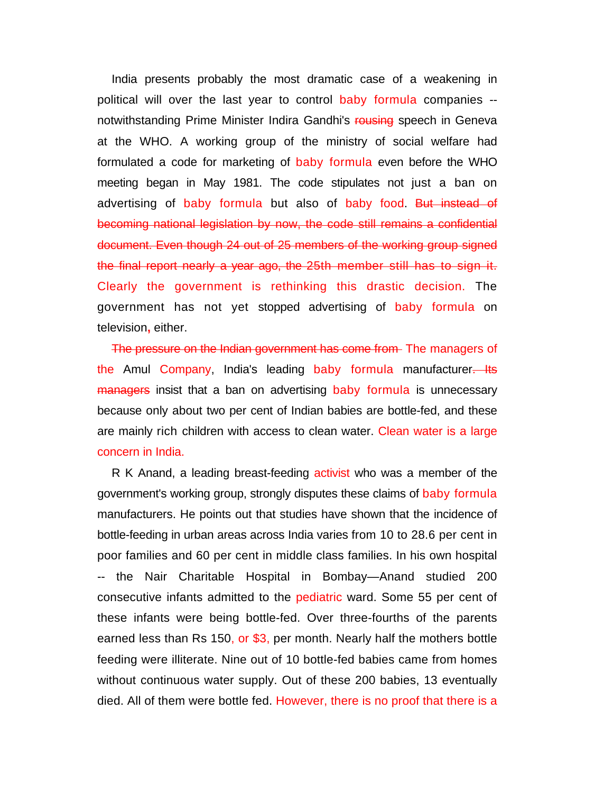India presents probably the most dramatic case of a weakening in political will over the last year to control baby formula companies - notwithstanding Prime Minister Indira Gandhi's rousing speech in Geneva at the WHO. A working group of the ministry of social welfare had formulated a code for marketing of baby formula even before the WHO meeting began in May 1981. The code stipulates not just a ban on advertising of baby formula but also of baby food. But instead of becoming national legislation by now, the code still remains a confidential document. Even though 24 out of 25 members of the working group signed the final report nearly a year ago, the 25th member still has to sign it. Clearly the government is rethinking this drastic decision. The government has not yet stopped advertising of baby formula on television**,** either.

The pressure on the Indian government has come from The managers of the Amul Company, India's leading baby formula manufacturer. Its managers insist that a ban on advertising baby formula is unnecessary because only about two per cent of Indian babies are bottle-fed, and these are mainly rich children with access to clean water. Clean water is a large concern in India.

R K Anand, a leading breast-feeding activist who was a member of the government's working group, strongly disputes these claims of baby formula manufacturers. He points out that studies have shown that the incidence of bottle-feeding in urban areas across India varies from 10 to 28.6 per cent in poor families and 60 per cent in middle class families. In his own hospital -- the Nair Charitable Hospital in Bombay—Anand studied 200 consecutive infants admitted to the pediatric ward. Some 55 per cent of these infants were being bottle-fed. Over three-fourths of the parents earned less than Rs 150, or \$3, per month. Nearly half the mothers bottle feeding were illiterate. Nine out of 10 bottle-fed babies came from homes without continuous water supply. Out of these 200 babies, 13 eventually died. All of them were bottle fed. However, there is no proof that there is a